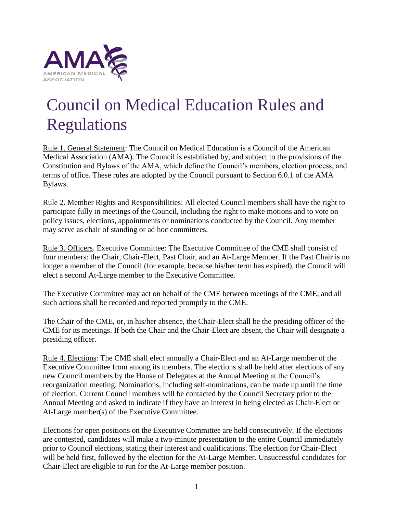

## Council on Medical Education Rules and Regulations

Rule 1. General Statement: The Council on Medical Education is a Council of the American Medical Association (AMA). The Council is established by, and subject to the provisions of the Constitution and Bylaws of the AMA, which define the Council's members, election process, and terms of office. These rules are adopted by the Council pursuant to Section 6.0.1 of the AMA Bylaws.

Rule 2. Member Rights and Responsibilities: All elected Council members shall have the right to participate fully in meetings of the Council, including the right to make motions and to vote on policy issues, elections, appointments or nominations conducted by the Council. Any member may serve as chair of standing or ad hoc committees.

Rule 3. Officers. Executive Committee: The Executive Committee of the CME shall consist of four members: the Chair, Chair-Elect, Past Chair, and an At-Large Member. If the Past Chair is no longer a member of the Council (for example, because his/her term has expired), the Council will elect a second At-Large member to the Executive Committee.

The Executive Committee may act on behalf of the CME between meetings of the CME, and all such actions shall be recorded and reported promptly to the CME.

The Chair of the CME, or, in his/her absence, the Chair-Elect shall be the presiding officer of the CME for its meetings. If both the Chair and the Chair-Elect are absent, the Chair will designate a presiding officer.

Rule 4. Elections: The CME shall elect annually a Chair-Elect and an At-Large member of the Executive Committee from among its members. The elections shall be held after elections of any new Council members by the House of Delegates at the Annual Meeting at the Council's reorganization meeting. Nominations, including self-nominations, can be made up until the time of election. Current Council members will be contacted by the Council Secretary prior to the Annual Meeting and asked to indicate if they have an interest in being elected as Chair-Elect or At-Large member(s) of the Executive Committee.

Elections for open positions on the Executive Committee are held consecutively. If the elections are contested, candidates will make a two-minute presentation to the entire Council immediately prior to Council elections, stating their interest and qualifications. The election for Chair-Elect will be held first, followed by the election for the At-Large Member. Unsuccessful candidates for Chair-Elect are eligible to run for the At-Large member position.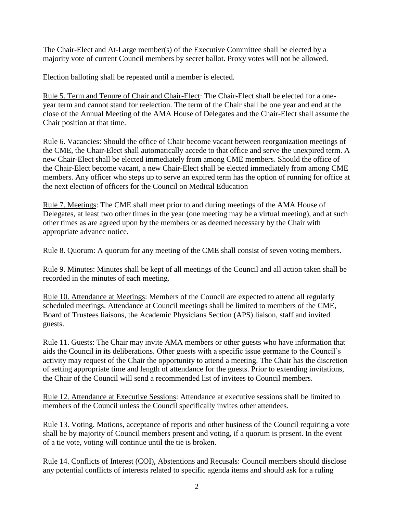The Chair-Elect and At-Large member(s) of the Executive Committee shall be elected by a majority vote of current Council members by secret ballot. Proxy votes will not be allowed.

Election balloting shall be repeated until a member is elected.

Rule 5. Term and Tenure of Chair and Chair-Elect: The Chair-Elect shall be elected for a oneyear term and cannot stand for reelection. The term of the Chair shall be one year and end at the close of the Annual Meeting of the AMA House of Delegates and the Chair-Elect shall assume the Chair position at that time.

Rule 6. Vacancies: Should the office of Chair become vacant between reorganization meetings of the CME, the Chair-Elect shall automatically accede to that office and serve the unexpired term. A new Chair-Elect shall be elected immediately from among CME members. Should the office of the Chair-Elect become vacant, a new Chair-Elect shall be elected immediately from among CME members. Any officer who steps up to serve an expired term has the option of running for office at the next election of officers for the Council on Medical Education

Rule 7. Meetings: The CME shall meet prior to and during meetings of the AMA House of Delegates, at least two other times in the year (one meeting may be a virtual meeting), and at such other times as are agreed upon by the members or as deemed necessary by the Chair with appropriate advance notice.

Rule 8. Quorum: A quorum for any meeting of the CME shall consist of seven voting members.

Rule 9. Minutes: Minutes shall be kept of all meetings of the Council and all action taken shall be recorded in the minutes of each meeting.

Rule 10. Attendance at Meetings: Members of the Council are expected to attend all regularly scheduled meetings. Attendance at Council meetings shall be limited to members of the CME, Board of Trustees liaisons, the Academic Physicians Section (APS) liaison, staff and invited guests.

Rule 11. Guests: The Chair may invite AMA members or other guests who have information that aids the Council in its deliberations. Other guests with a specific issue germane to the Council's activity may request of the Chair the opportunity to attend a meeting. The Chair has the discretion of setting appropriate time and length of attendance for the guests. Prior to extending invitations, the Chair of the Council will send a recommended list of invitees to Council members.

Rule 12. Attendance at Executive Sessions: Attendance at executive sessions shall be limited to members of the Council unless the Council specifically invites other attendees.

Rule 13. Voting. Motions, acceptance of reports and other business of the Council requiring a vote shall be by majority of Council members present and voting, if a quorum is present. In the event of a tie vote, voting will continue until the tie is broken.

Rule 14. Conflicts of Interest (COI), Abstentions and Recusals: Council members should disclose any potential conflicts of interests related to specific agenda items and should ask for a ruling